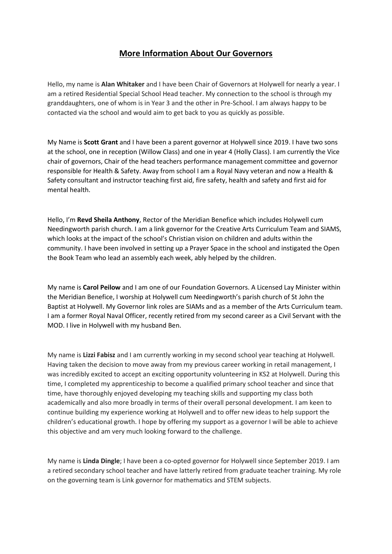## **More Information About Our Governors**

Hello, my name is **Alan Whitaker** and I have been Chair of Governors at Holywell for nearly a year. I am a retired Residential Special School Head teacher. My connection to the school is through my granddaughters, one of whom is in Year 3 and the other in Pre-School. I am always happy to be contacted via the school and would aim to get back to you as quickly as possible.

My Name is **Scott Grant** and I have been a parent governor at Holywell since 2019. I have two sons at the school, one in reception (Willow Class) and one in year 4 (Holly Class). I am currently the Vice chair of governors, Chair of the head teachers performance management committee and governor responsible for Health & Safety. Away from school I am a Royal Navy veteran and now a Health & Safety consultant and instructor teaching first aid, fire safety, health and safety and first aid for mental health.

Hello, I'm **Revd Sheila Anthony**, Rector of the Meridian Benefice which includes Holywell cum Needingworth parish church. I am a link governor for the Creative Arts Curriculum Team and SIAMS, which looks at the impact of the school's Christian vision on children and adults within the community. I have been involved in setting up a Prayer Space in the school and instigated the Open the Book Team who lead an assembly each week, ably helped by the children.

My name is **Carol Peilow** and I am one of our Foundation Governors. A Licensed Lay Minister within the Meridian Benefice, I worship at Holywell cum Needingworth's parish church of St John the Baptist at Holywell. My Governor link roles are SIAMs and as a member of the Arts Curriculum team. I am a former Royal Naval Officer, recently retired from my second career as a Civil Servant with the MOD. I live in Holywell with my husband Ben.

My name is **Lizzi Fabisz** and I am currently working in my second school year teaching at Holywell. Having taken the decision to move away from my previous career working in retail management, I was incredibly excited to accept an exciting opportunity volunteering in KS2 at Holywell. During this time, I completed my apprenticeship to become a qualified primary school teacher and since that time, have thoroughly enjoyed developing my teaching skills and supporting my class both academically and also more broadly in terms of their overall personal development. I am keen to continue building my experience working at Holywell and to offer new ideas to help support the children's educational growth. I hope by offering my support as a governor I will be able to achieve this objective and am very much looking forward to the challenge.

My name is **Linda Dingle**; I have been a co-opted governor for Holywell since September 2019. I am a retired secondary school teacher and have latterly retired from graduate teacher training. My role on the governing team is Link governor for mathematics and STEM subjects.